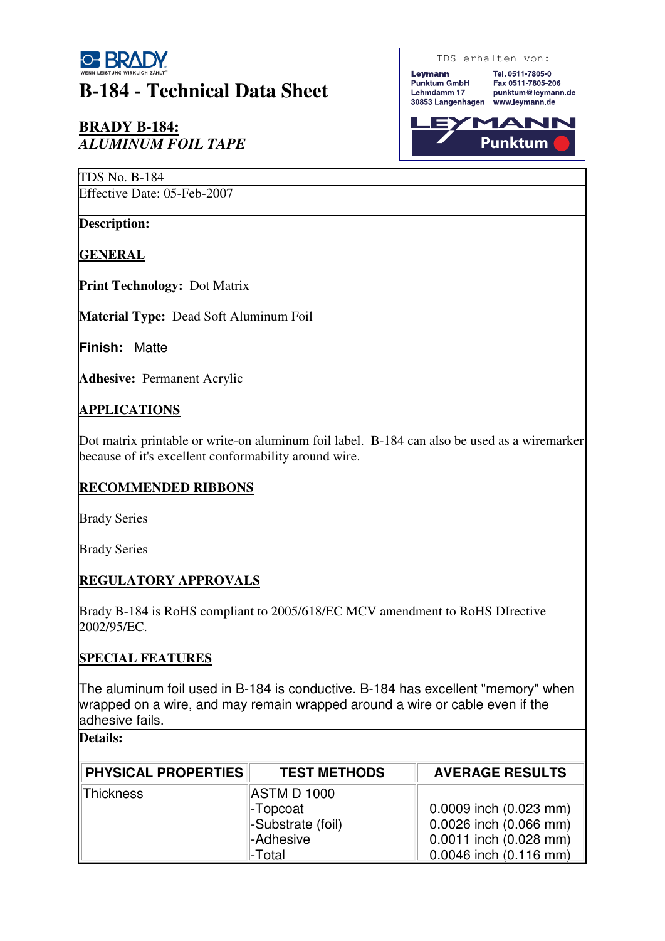

# **B-184 - Technical Data Sheet**

## **BRADY B-184:**  *ALUMINUM FOIL TAPE*

TDS No. B-184

Effective Date: 05-Feb-2007

**Description:**

**GENERAL**

**Print Technology:** Dot Matrix

**Material Type:** Dead Soft Aluminum Foil

**Finish:** Matte

**Adhesive:** Permanent Acrylic

#### **APPLICATIONS**

Dot matrix printable or write-on aluminum foil label. B-184 can also be used as a wiremarker because of it's excellent conformability around wire.

## **RECOMMENDED RIBBONS**

Brady Series

Brady Series

## **REGULATORY APPROVALS**

Brady B-184 is RoHS compliant to 2005/618/EC MCV amendment to RoHS DIrective 2002/95/EC.

#### **SPECIAL FEATURES**

The aluminum foil used in B-184 is conductive. B-184 has excellent "memory" when wrapped on a wire, and may remain wrapped around a wire or cable even if the adhesive fails.

#### **Details:**

| <b>PHYSICAL PROPERTIES</b> | <b>TEST METHODS</b> | <b>AVERAGE RESULTS</b>     |
|----------------------------|---------------------|----------------------------|
| Thickness                  | <b>ASTM D 1000</b>  |                            |
|                            | -Topcoat            | $0.0009$ inch $(0.023$ mm) |
|                            | -Substrate (foil)   | 0.0026 inch (0.066 mm)     |
|                            | -Adhesive           | $0.0011$ inch $(0.028$ mm) |
|                            | -Total              | 0.0046 inch (0.116 mm)     |

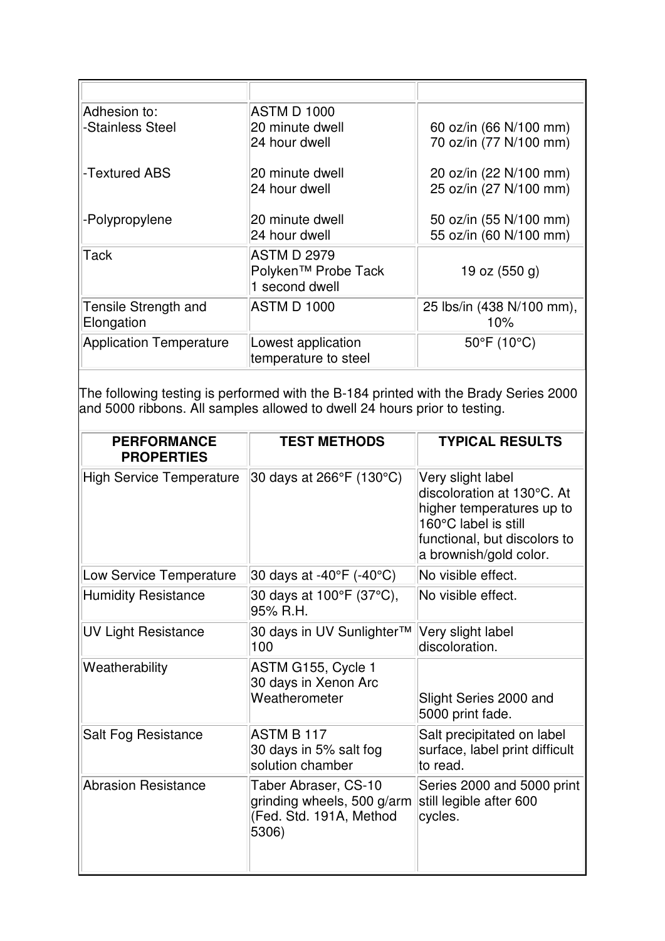| Adhesion to:                       | <b>ASTM D 1000</b>                         |                                  |
|------------------------------------|--------------------------------------------|----------------------------------|
| -Stainless Steel                   | 20 minute dwell                            | 60 oz/in (66 N/100 mm)           |
|                                    | 24 hour dwell                              | 70 oz/in (77 N/100 mm)           |
| ⊩Textured ABS                      | 20 minute dwell                            | 20 oz/in (22 N/100 mm)           |
|                                    | 24 hour dwell                              | 25 oz/in (27 N/100 mm)           |
| -Polypropylene                     | 20 minute dwell                            | 50 oz/in (55 N/100 mm)           |
|                                    | 24 hour dwell                              | 55 oz/in (60 N/100 mm)           |
| $\sf\Pi$ Tack                      | <b>ASTM D 2979</b>                         |                                  |
|                                    | Polyken™ Probe Tack<br>1 second dwell      | 19 oz $(550 g)$                  |
| Tensile Strength and<br>Elongation | <b>ASTM D 1000</b>                         | 25 lbs/in (438 N/100 mm),<br>10% |
|                                    |                                            |                                  |
| Application Temperature            | Lowest application<br>temperature to steel | $50^{\circ}$ F (10 $^{\circ}$ C) |

The following testing is performed with the B-184 printed with the Brady Series 2000 and 5000 ribbons. All samples allowed to dwell 24 hours prior to testing.

| <b>PERFORMANCE</b><br><b>PROPERTIES</b> | <b>TEST METHODS</b>                                                                    | <b>TYPICAL RESULTS</b>                                                                                                                                         |
|-----------------------------------------|----------------------------------------------------------------------------------------|----------------------------------------------------------------------------------------------------------------------------------------------------------------|
| <b>High Service Temperature</b>         | 30 days at 266°F (130°C)                                                               | Very slight label<br>discoloration at 130°C. At<br>higher temperatures up to<br>160°C label is still<br>functional, but discolors to<br>a brownish/gold color. |
| Low Service Temperature                 | 30 days at -40°F (-40°C)                                                               | No visible effect.                                                                                                                                             |
| <b>Humidity Resistance</b>              | 30 days at 100°F (37°C),<br>95% R.H.                                                   | No visible effect.                                                                                                                                             |
| <b>UV Light Resistance</b>              | 30 days in UV Sunlighter™<br>100                                                       | Very slight label<br>discoloration.                                                                                                                            |
| Weatherability                          | ASTM G155, Cycle 1<br>30 days in Xenon Arc<br>Weatherometer                            | Slight Series 2000 and<br>5000 print fade.                                                                                                                     |
| Salt Fog Resistance                     | ASTM B 117<br>30 days in 5% salt fog<br>solution chamber                               | Salt precipitated on label<br>surface, label print difficult<br>to read.                                                                                       |
| <b>Abrasion Resistance</b>              | Taber Abraser, CS-10<br>grinding wheels, 500 g/arm<br>(Fed. Std. 191A, Method<br>5306) | Series 2000 and 5000 print<br>still legible after 600<br>cycles.                                                                                               |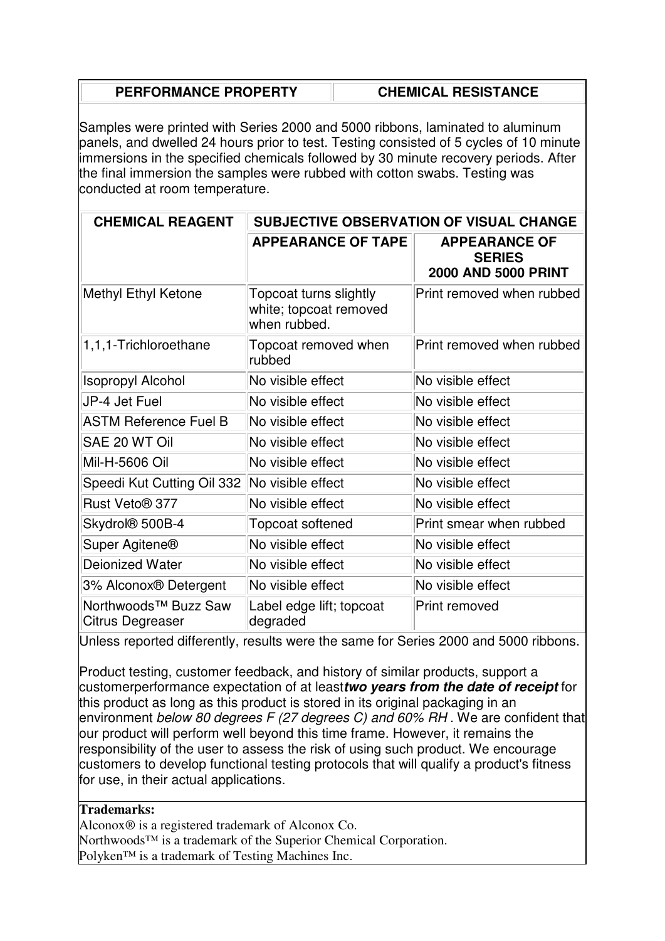| <b>PERFORMANCE PROPERTY</b> | <b>CHEMICAL RESISTANCE</b> |
|-----------------------------|----------------------------|
|                             |                            |

Samples were printed with Series 2000 and 5000 ribbons, laminated to aluminum panels, and dwelled 24 hours prior to test. Testing consisted of 5 cycles of 10 minute immersions in the specified chemicals followed by 30 minute recovery periods. After the final immersion the samples were rubbed with cotton swabs. Testing was conducted at room temperature.

| <b>CHEMICAL REAGENT</b>                              | SUBJECTIVE OBSERVATION OF VISUAL CHANGE                          |                                                                     |
|------------------------------------------------------|------------------------------------------------------------------|---------------------------------------------------------------------|
|                                                      | <b>APPEARANCE OF TAPE</b>                                        | <b>APPEARANCE OF</b><br><b>SERIES</b><br><b>2000 AND 5000 PRINT</b> |
| Methyl Ethyl Ketone                                  | Topcoat turns slightly<br>white; topcoat removed<br>when rubbed. | Print removed when rubbed                                           |
| $ 1,1,1$ -Trichloroethane                            | Topcoat removed when<br>rubbed                                   | Print removed when rubbed                                           |
| <b>Isopropyl Alcohol</b>                             | No visible effect                                                | No visible effect                                                   |
| JP-4 Jet Fuel                                        | No visible effect                                                | No visible effect                                                   |
| <b>ASTM Reference Fuel B</b>                         | No visible effect                                                | No visible effect                                                   |
| SAE 20 WT Oil                                        | No visible effect                                                | No visible effect                                                   |
| Mil-H-5606 Oil                                       | No visible effect                                                | No visible effect                                                   |
| Speedi Kut Cutting Oil 332                           | No visible effect                                                | No visible effect                                                   |
| Rust Veto <sup>®</sup> 377                           | No visible effect                                                | No visible effect                                                   |
| Skydrol <sup>®</sup> 500B-4                          | Topcoat softened                                                 | Print smear when rubbed                                             |
| Super Agitene <sup>®</sup>                           | No visible effect                                                | No visible effect                                                   |
| Deionized Water                                      | No visible effect                                                | No visible effect                                                   |
| 3% Alconox® Detergent                                | No visible effect                                                | No visible effect                                                   |
| Northwoods <sup>™</sup> Buzz Saw<br>Citrus Degreaser | Label edge lift; topcoat<br>degraded                             | <b>Print removed</b>                                                |

Unless reported differently, results were the same for Series 2000 and 5000 ribbons.

Product testing, customer feedback, and history of similar products, support a customerperformance expectation of at least**two years from the date of receipt** for this product as long as this product is stored in its original packaging in an environment below 80 degrees F (27 degrees C) and 60% RH. We are confident that our product will perform well beyond this time frame. However, it remains the responsibility of the user to assess the risk of using such product. We encourage customers to develop functional testing protocols that will qualify a product's fitness for use, in their actual applications.

#### **Trademarks:**

Alconox® is a registered trademark of Alconox Co. Northwoods<sup>™</sup> is a trademark of the Superior Chemical Corporation. Polyken™ is a trademark of Testing Machines Inc.